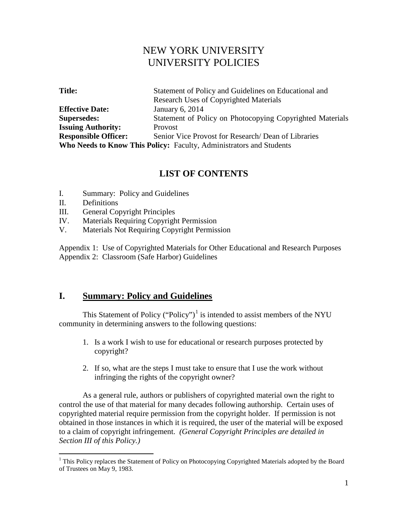# NEW YORK UNIVERSITY UNIVERSITY POLICIES

| <b>Title:</b>               | Statement of Policy and Guidelines on Educational and                      |
|-----------------------------|----------------------------------------------------------------------------|
|                             | <b>Research Uses of Copyrighted Materials</b>                              |
| <b>Effective Date:</b>      | January 6, 2014                                                            |
| <b>Supersedes:</b>          | Statement of Policy on Photocopying Copyrighted Materials                  |
| <b>Issuing Authority:</b>   | Provost                                                                    |
| <b>Responsible Officer:</b> | Senior Vice Provost for Research/Dean of Libraries                         |
|                             | <b>Who Needs to Know This Policy: Faculty, Administrators and Students</b> |

## **LIST OF CONTENTS**

- I. Summary: Policy and Guidelines
- II. Definitions
- III. General Copyright Principles
- IV. Materials Requiring Copyright Permission
- V. Materials Not Requiring Copyright Permission

Appendix 1: Use of Copyrighted Materials for Other Educational and Research Purposes Appendix 2: Classroom (Safe Harbor) Guidelines

## **I. Summary: Policy and Guidelines**

This Statement of Policy ("Policy")<sup>[1](#page-0-0)</sup> is intended to assist members of the NYU community in determining answers to the following questions:

- 1. Is a work I wish to use for educational or research purposes protected by copyright?
- 2. If so, what are the steps I must take to ensure that I use the work without infringing the rights of the copyright owner?

As a general rule, authors or publishers of copyrighted material own the right to control the use of that material for many decades following authorship. Certain uses of copyrighted material require permission from the copyright holder. If permission is not obtained in those instances in which it is required, the user of the material will be exposed to a claim of copyright infringement. *(General Copyright Principles are detailed in Section III of this Policy.)* 

<span id="page-0-0"></span> $1$  This Policy replaces the Statement of Policy on Photocopying Copyrighted Materials adopted by the Board of Trustees on May 9, 1983.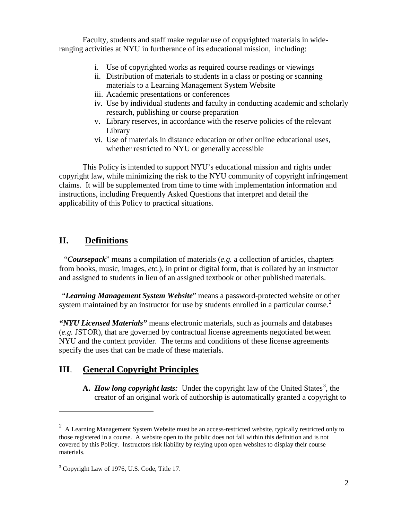Faculty, students and staff make regular use of copyrighted materials in wideranging activities at NYU in furtherance of its educational mission, including:

- i. Use of copyrighted works as required course readings or viewings
- ii. Distribution of materials to students in a class or posting or scanning materials to a Learning Management System Website
- iii. Academic presentations or conferences
- iv. Use by individual students and faculty in conducting academic and scholarly research, publishing or course preparation
- v. Library reserves, in accordance with the reserve policies of the relevant Library
- vi. Use of materials in distance education or other online educational uses, whether restricted to NYU or generally accessible

This Policy is intended to support NYU's educational mission and rights under copyright law, while minimizing the risk to the NYU community of copyright infringement claims. It will be supplemented from time to time with implementation information and instructions, including Frequently Asked Questions that interpret and detail the applicability of this Policy to practical situations.

# **II. Definitions**

 $\overline{a}$ 

"*Coursepack*" means a compilation of materials (*e.g.* a collection of articles, chapters from books, music, images, *etc.*), in print or digital form, that is collated by an instructor and assigned to students in lieu of an assigned textbook or other published materials.

"*Learning Management System Website*" means a password-protected website or other system maintained by an instructor for use by students enrolled in a particular course.<sup>[2](#page-1-0)</sup>

*"NYU Licensed Materials"* means electronic materials, such as journals and databases (*e.g.* JSTOR), that are governed by contractual license agreements negotiated between NYU and the content provider. The terms and conditions of these license agreements specify the uses that can be made of these materials.

# **III**. **General Copyright Principles**

A. *How long copyright lasts:* Under the copyright law of the United States<sup>[3](#page-1-1)</sup>, the creator of an original work of authorship is automatically granted a copyright to

<span id="page-1-0"></span> $2$  A Learning Management System Website must be an access-restricted website, typically restricted only to those registered in a course. A website open to the public does not fall within this definition and is not covered by this Policy. Instructors risk liability by relying upon open websites to display their course materials.

<span id="page-1-1"></span><sup>&</sup>lt;sup>3</sup> [Copyright Law of 1976, U.S. Code, Title 17.](http://www.loc.gov/copyright/title17)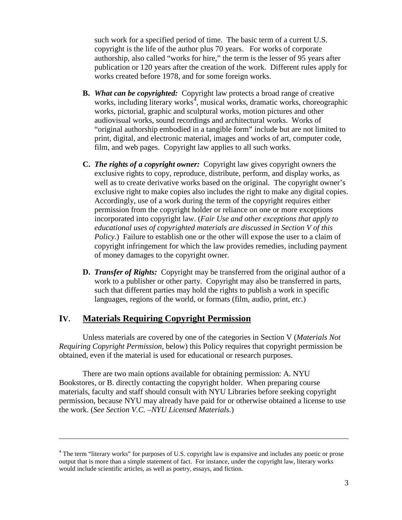such work for a specified period of time. The basic term of a current U.S. copyright is the life of the author plus 70 years. For works of corporate authorship, also called "works for hire," the term is the lesser of 95 years after publication or 120 years after the creation of the work. Different rules apply for works created before 1978, and for some foreign works.

- **B.** *What can be copyrighted:* Copyright law protects a broad range of creative works, including literary works<sup>[4](#page-2-0)</sup>, musical works, dramatic works, choreographic works, pictorial, graphic and sculptural works, motion pictures and other audiovisual works, sound recordings and architectural works. Works of "original authorship embodied in a tangible form" include but are not limited to print, digital, and electronic material, images and works of art, computer code, film, and web pages. Copyright law applies to all such works.
- **C.** *The rights of a copyright owner:* Copyright law gives copyright owners the exclusive rights to copy, reproduce, distribute, perform, and display works, as well as to create derivative works based on the original. The copyright owner's exclusive right to make copies also includes the right to make any digital copies. Accordingly, use of a work during the term of the copyright requires either permission from the copyright holder or reliance on one or more exceptions incorporated into copyright law. (*Fair Use and other exceptions that apply to educational uses of copyrighted materials are discussed in Section V of this Policy.*) Failure to establish one or the other will expose the user to a claim of copyright infringement for which the law provides remedies, including payment of money damages to the copyright owner.
- **D.** *Transfer of Rights:* Copyright may be transferred from the original author of a work to a publisher or other party. Copyright may also be transferred in parts, such that different parties may hold the rights to publish a work in specific languages, regions of the world, or formats (film, audio, print, *etc.*)

### **IV. Materials Requiring Copyright Permission**

 $\overline{a}$ 

Unless materials are covered by one of the categories in Section V (*Materials Not Requiring Copyright Permission*, below) this Policy requires that copyright permission be obtained, even if the material is used for educational or research purposes.

There are two main options available for obtaining permission: A. NYU Bookstores, or B. directly contacting the copyright holder. When preparing course materials, faculty and staff should consult with NYU Libraries before seeking copyright permission, because NYU may already have paid for or otherwise obtained a license to use the work. (*See Section V.C. –NYU Licensed Materials.*)

<span id="page-2-0"></span><sup>&</sup>lt;sup>4</sup> The term "literary works" for purposes of U.S. copyright law is expansive and includes any poetic or prose output that is more than a simple statement of fact. For instance, under the copyright law, literary works would include scientific articles, as well as poetry, essays, and fiction.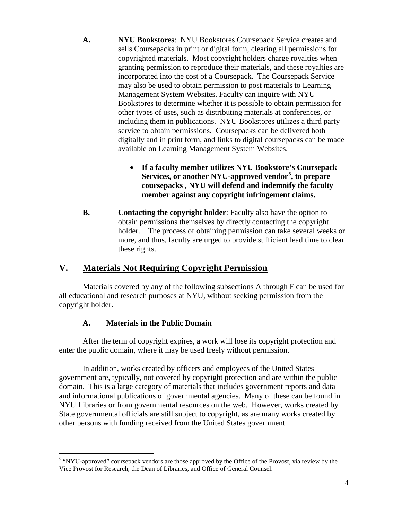- **A. NYU Bookstores**: NYU Bookstores Coursepack Service creates and sells Coursepacks in print or digital form, clearing all permissions for copyrighted materials. Most copyright holders charge royalties when granting permission to reproduce their materials, and these royalties are incorporated into the cost of a Coursepack. The Coursepack Service may also be used to obtain permission to post materials to Learning Management System Websites. Faculty can inquire with NYU Bookstores to determine whether it is possible to obtain permission for other types of uses, such as distributing materials at conferences, or including them in publications. NYU Bookstores utilizes a third party service to obtain permissions. Coursepacks can be delivered both digitally and in print form, and links to digital coursepacks can be made available on Learning Management System Websites.
	- **If a faculty member utilizes NYU Bookstore's Coursepack Services, or another NYU-approved vendor[5](#page-3-0) , to prepare coursepacks , NYU will defend and indemnify the faculty member against any copyright infringement claims.**
- **B. Contacting the copyright holder**: Faculty also have the option to obtain permissions themselves by directly contacting the copyright holder. The process of obtaining permission can take several weeks or more, and thus, faculty are urged to provide sufficient lead time to clear these rights.

## **V. Materials Not Requiring Copyright Permission**

Materials covered by any of the following subsections A through F can be used for all educational and research purposes at NYU, without seeking permission from the copyright holder.

## **A. Materials in the Public Domain**

After the term of copyright expires, a work will lose its copyright protection and enter the public domain, where it may be used freely without permission.

In addition, works created by officers and employees of the United States government are, typically, not covered by copyright protection and are within the public domain. This is a large category of materials that includes government reports and data and informational publications of governmental agencies. Many of these can be found in NYU Libraries or from governmental resources on the web. However, works created by State governmental officials are still subject to copyright, as are many works created by other persons with funding received from the United States government.

<span id="page-3-0"></span><sup>&</sup>lt;sup>5</sup> "NYU-approved" coursepack vendors are those approved by the Office of the Provost, via review by the Vice Provost for Research, the Dean of Libraries, and Office of General Counsel.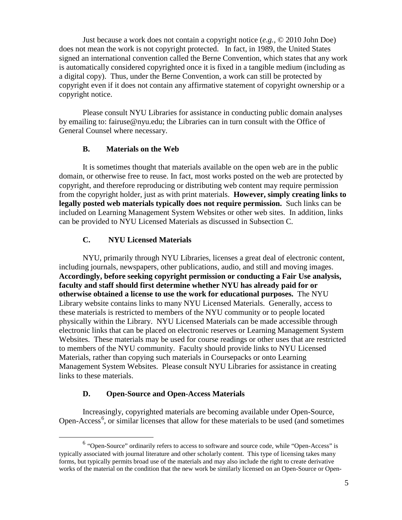Just because a work does not contain a copyright notice (*e.g.,* © 2010 John Doe) does not mean the work is not copyright protected. In fact, in 1989, the United States signed an international convention called the Berne Convention, which states that any work is automatically considered copyrighted once it is fixed in a tangible medium (including as a digital copy). Thus, under the Berne Convention, a work can still be protected by copyright even if it does not contain any affirmative statement of copyright ownership or a copyright notice.

Please consult NYU Libraries for assistance in conducting public domain analyses by emailing to: fairuse@nyu.edu; the Libraries can in turn consult with the Office of General Counsel where necessary.

#### **B. Materials on the Web**

It is sometimes thought that materials available on the open web are in the public domain, or otherwise free to reuse. In fact, most works posted on the web are protected by copyright, and therefore reproducing or distributing web content may require permission from the copyright holder, just as with print materials. **However, simply creating links to legally posted web materials typically does not require permission.** Such links can be included on Learning Management System Websites or other web sites. In addition, links can be provided to NYU Licensed Materials as discussed in Subsection C.

### **C. NYU Licensed Materials**

NYU, primarily through NYU Libraries, licenses a great deal of electronic content, including journals, newspapers, other publications, audio, and still and moving images. **Accordingly, before seeking copyright permission or conducting a Fair Use analysis, faculty and staff should first determine whether NYU has already paid for or otherwise obtained a license to use the work for educational purposes.** The [NYU](http://library.nyu.edu/)  [Library website](http://library.nyu.edu/) contains links to many NYU Licensed Materials. Generally, access to these materials is restricted to members of the NYU community or to people located physically within the Library. NYU Licensed Materials can be made accessible through electronic links that can be placed on electronic reserves or Learning Management System Websites. These materials may be used for course readings or other uses that are restricted to members of the NYU community. Faculty should provide links to NYU Licensed Materials, rather than copying such materials in Coursepacks or onto Learning Management System Websites. Please consult NYU Libraries for assistance in creating links to these materials.

#### **D. Open-Source and Open-Access Materials**

Increasingly, copyrighted materials are becoming available under Open-Source, Open-Access<sup>[6](#page-4-0)</sup>, or similar licenses that allow for these materials to be used (and sometimes

<span id="page-4-0"></span> $6$  "Open-Source" ordinarily refers to access to software and source code, while "Open-Access" is typically associated with journal literature and other scholarly content. This type of licensing takes many forms, but typically permits broad use of the materials and may also include the right to create derivative works of the material on the condition that the new work be similarly licensed on an Open-Source or Open-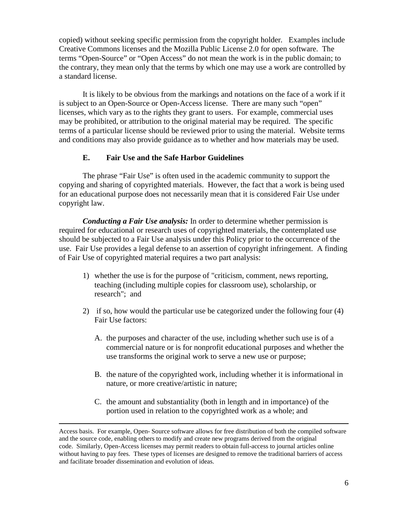copied) without seeking specific permission from the copyright holder*.* Examples include Creative Commons licenses and the Mozilla Public License 2.0 for open software. The terms "Open-Source" or "Open Access" do not mean the work is in the public domain; to the contrary, they mean only that the terms by which one may use a work are controlled by a standard license.

It is likely to be obvious from the markings and notations on the face of a work if it is subject to an Open-Source or Open-Access license. There are many such "open" licenses, which vary as to the rights they grant to users. For example, commercial uses may be prohibited, or attribution to the original material may be required. The specific terms of a particular license should be reviewed prior to using the material. Website terms and conditions may also provide guidance as to whether and how materials may be used.

### **E. Fair Use and the Safe Harbor Guidelines**

The phrase "Fair Use" is often used in the academic community to support the copying and sharing of copyrighted materials. However, the fact that a work is being used for an educational purpose does not necessarily mean that it is considered Fair Use under copyright law.

*Conducting a Fair Use analysis:* In order to determine whether permission is required for educational or research uses of copyrighted materials, the contemplated use should be subjected to a Fair Use analysis under this Policy prior to the occurrence of the use. Fair Use provides a legal defense to an assertion of copyright infringement. A finding of Fair Use of copyrighted material requires a two part analysis:

- 1) whether the use is for the purpose of "criticism, comment, news reporting, teaching (including multiple copies for classroom use), scholarship, or research"; and
- 2) if so, how would the particular use be categorized under the following four (4) Fair Use factors:
	- A. the purposes and character of the use, including whether such use is of a commercial nature or is for nonprofit educational purposes and whether the use transforms the original work to serve a new use or purpose;
	- B. the nature of the copyrighted work, including whether it is informational in nature, or more creative/artistic in nature;
	- C. the amount and substantiality (both in length and in importance) of the portion used in relation to the copyrighted work as a whole; and

 $\overline{a}$ 

Access basis. For example, Open- Source software allows for free distribution of both the compiled software and the source code, enabling others to modify and create new programs derived from the original code. Similarly, Open-Access licenses may permit readers to obtain full-access to journal articles online without having to pay fees. These types of licenses are designed to remove the traditional barriers of access and facilitate broader dissemination and evolution of ideas.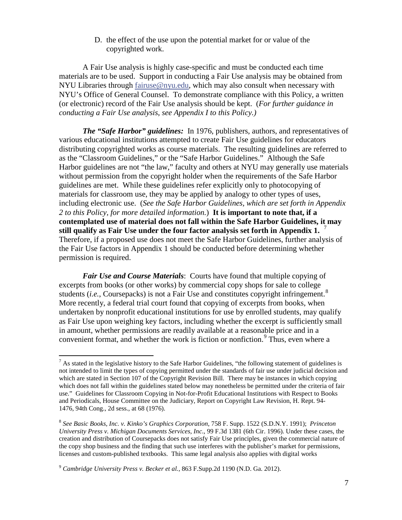D. the effect of the use upon the potential market for or value of the copyrighted work.

A Fair Use analysis is highly case-specific and must be conducted each time materials are to be used. Support in conducting a Fair Use analysis may be obtained from NYU Libraries through [fairuse@nyu.edu,](mailto:fairuse@nyu.edu) which may also consult when necessary with NYU's Office of General Counsel. To demonstrate compliance with this Policy, a written (or electronic) record of the Fair Use analysis should be kept. (*For further guidance in conducting a Fair Use analysis*, *see Appendix I to this Policy.)* 

*The "Safe Harbor" guidelines:* In 1976, publishers, authors, and representatives of various educational institutions attempted to create Fair Use guidelines for educators distributing copyrighted works as course materials. The resulting guidelines are referred to as the "Classroom Guidelines," or the "Safe Harbor Guidelines." Although the Safe Harbor guidelines are not "the law," faculty and others at NYU may generally use materials without permission from the copyright holder when the requirements of the Safe Harbor guidelines are met. While these guidelines refer explicitly only to photocopying of materials for classroom use, they may be applied by analogy to other types of uses, including electronic use. (*See the Safe Harbor Guidelines, which are set forth in Appendix 2 to this Policy, for more detailed information.*) **It is important to note that, if a contemplated use of material does not fall within the Safe Harbor Guidelines, it may still qualify as Fair Use under the four factor analysis set forth in Appendix 1.** [7](#page-6-0) Therefore, if a proposed use does not meet the Safe Harbor Guidelines, further analysis of the Fair Use factors in Appendix 1 should be conducted before determining whether permission is required.

*Fair Use and Course Materials*:Courts have found that multiple copying of excerpts from books (or other works) by commercial copy shops for sale to college students (*i.e.*, Coursepacks) is not a Fair Use and constitutes copyright infringement.<sup>[8](#page-6-1)</sup> More recently, a federal trial court found that copying of excerpts from books, when undertaken by nonprofit educational institutions for use by enrolled students, may qualify as Fair Use upon weighing key factors, including whether the excerpt is sufficiently small in amount, whether permissions are readily available at a reasonable price and in a convenient format, and whether the work is fiction or nonfiction.<sup>[9](#page-6-2)</sup> Thus, even where a

<span id="page-6-0"></span> $^7$  As stated in the legislative history to the Safe Harbor Guidelines, "the following statement of guidelines is not intended to limit the types of copying permitted under the standards of fair use under judicial decision and which are stated in Section 107 of the Copyright Revision Bill. There may be instances in which copying which does not fall within the guidelines stated below may nonetheless be permitted under the criteria of fair use." Guidelines for Classroom Copying in Not-for-Profit Educational Institutions with Respect to Books and Periodicals, House Committee on the Judiciary, Report on Copyright Law Revision, H. Rept. 94- 1476, 94th Cong., 2d sess., at 68 (1976).

<span id="page-6-1"></span><sup>8</sup> *See Basic Books, Inc. v. Kinko's Graphics Corporation*, 758 F. Supp. 1522 (S.D.N.Y. 1991); *Princeton University Press v. Michigan Documents Services, Inc*., 99 F.3d 1381 (6th Cir. 1996). Under these cases, the creation and distribution of Coursepacks does not satisfy Fair Use principles, given the commercial nature of the copy shop business and the finding that such use interferes with the publisher's market for permissions, licenses and custom-published textbooks. This same legal analysis also applies with digital works

<span id="page-6-2"></span><sup>9</sup> *Cambridge University Press v. Becker et al.*, 863 F.Supp.2d 1190 (N.D. Ga. 2012).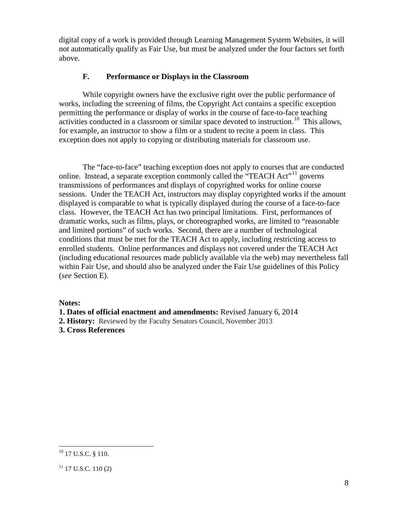digital copy of a work is provided through Learning Management System Websites, it will not automatically qualify as Fair Use, but must be analyzed under the four factors set forth above.

### **F. Performance or Displays in the Classroom**

While copyright owners have the exclusive right over the public performance of works, including the screening of films, the Copyright Act contains a specific exception permitting the performance or display of works in the course of face-to-face teaching activities conducted in a classroom or similar space devoted to instruction.<sup>[10](#page-7-0)</sup> This allows, for example, an instructor to show a film or a student to recite a poem in class. This exception does not apply to copying or distributing materials for classroom use.

The "face-to-face" teaching exception does not apply to courses that are conducted online. Instead, a separate exception commonly called the "TEACH Act"<sup>[11](#page-7-1)</sup> governs transmissions of performances and displays of copyrighted works for online course sessions. Under the TEACH Act, instructors may display copyrighted works if the amount displayed is comparable to what is typically displayed during the course of a face-to-face class. However, the TEACH Act has two principal limitations. First, performances of dramatic works, such as films, plays, or choreographed works, are limited to "reasonable and limited portions" of such works. Second, there are a number of technological conditions that must be met for the TEACH Act to apply, including restricting access to enrolled students. Online performances and displays not covered under the TEACH Act (including educational resources made publicly available via the web) may nevertheless fall within Fair Use, and should also be analyzed under the Fair Use guidelines of this Policy (*see* Section E).

**Notes:**

**1. Dates of official enactment and amendments:** Revised January 6, 2014

2. History: Reviewed by the Faculty Senators Council, November 2013

**3. Cross References**

<span id="page-7-0"></span><sup>&</sup>lt;sup>10</sup> 17 U.S.C. § 110.

<span id="page-7-1"></span> $11$  17 U.S.C. 110 (2)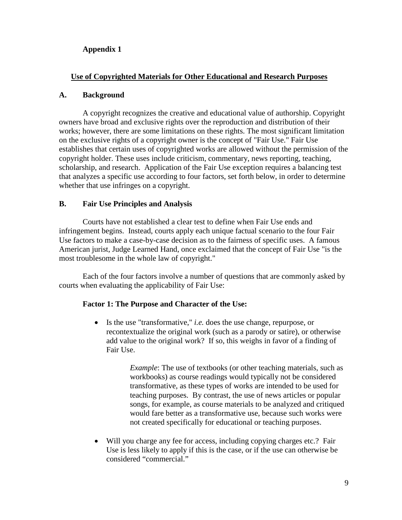### **Appendix 1**

### **Use of Copyrighted Materials for Other Educational and Research Purposes**

#### **A. Background**

A copyright recognizes the creative and educational value of authorship. Copyright owners have broad and exclusive rights over the reproduction and distribution of their works; however, there are some limitations on these rights. The most significant limitation on the exclusive rights of a copyright owner is the concept of "Fair Use." Fair Use establishes that certain uses of copyrighted works are allowed without the permission of the copyright holder. These uses include criticism, commentary, news reporting, teaching, scholarship, and research. Application of the Fair Use exception requires a balancing test that analyzes a specific use according to four factors, set forth below, in order to determine whether that use infringes on a copyright.

#### **B. Fair Use Principles and Analysis**

Courts have not established a clear test to define when Fair Use ends and infringement begins. Instead, courts apply each unique factual scenario to the four Fair Use factors to make a case-by-case decision as to the fairness of specific uses. A famous American jurist, Judge Learned Hand, once exclaimed that the concept of Fair Use "is the most troublesome in the whole law of copyright."

Each of the four factors involve a number of questions that are commonly asked by courts when evaluating the applicability of Fair Use:

#### **Factor 1: The Purpose and Character of the Use:**

• Is the use "transformative," *i.e.* does the use change, repurpose, or recontextualize the original work (such as a parody or satire), or otherwise add value to the original work? If so, this weighs in favor of a finding of Fair Use.

> *Example*: The use of textbooks (or other teaching materials, such as workbooks) as course readings would typically not be considered transformative, as these types of works are intended to be used for teaching purposes. By contrast, the use of news articles or popular songs, for example, as course materials to be analyzed and critiqued would fare better as a transformative use, because such works were not created specifically for educational or teaching purposes.

• Will you charge any fee for access, including copying charges etc.? Fair Use is less likely to apply if this is the case, or if the use can otherwise be considered "commercial."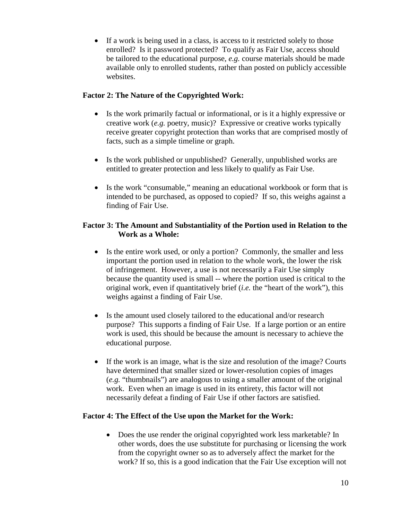• If a work is being used in a class, is access to it restricted solely to those enrolled? Is it password protected? To qualify as Fair Use, access should be tailored to the educational purpose, *e.g.* course materials should be made available only to enrolled students, rather than posted on publicly accessible websites.

### **Factor 2: The Nature of the Copyrighted Work:**

- Is the work primarily factual or informational, or is it a highly expressive or creative work (*e.g.* poetry, music)? Expressive or creative works typically receive greater copyright protection than works that are comprised mostly of facts, such as a simple timeline or graph.
- Is the work published or unpublished? Generally, unpublished works are entitled to greater protection and less likely to qualify as Fair Use.
- Is the work "consumable," meaning an educational workbook or form that is intended to be purchased, as opposed to copied? If so, this weighs against a finding of Fair Use.

#### **Factor 3: The Amount and Substantiality of the Portion used in Relation to the Work as a Whole:**

- Is the entire work used, or only a portion? Commonly, the smaller and less important the portion used in relation to the whole work, the lower the risk of infringement. However, a use is not necessarily a Fair Use simply because the quantity used is small -- where the portion used is critical to the original work, even if quantitatively brief (*i.e.* the "heart of the work"), this weighs against a finding of Fair Use.
- Is the amount used closely tailored to the educational and/or research purpose? This supports a finding of Fair Use. If a large portion or an entire work is used, this should be because the amount is necessary to achieve the educational purpose.
- If the work is an image, what is the size and resolution of the image? Courts have determined that smaller sized or lower-resolution copies of images (*e.g.* "thumbnails") are analogous to using a smaller amount of the original work. Even when an image is used in its entirety, this factor will not necessarily defeat a finding of Fair Use if other factors are satisfied.

#### **Factor 4: The Effect of the Use upon the Market for the Work:**

• Does the use render the original copyrighted work less marketable? In other words, does the use substitute for purchasing or licensing the work from the copyright owner so as to adversely affect the market for the work? If so, this is a good indication that the Fair Use exception will not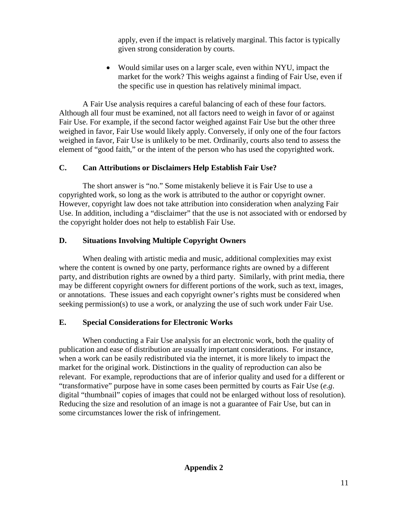apply, even if the impact is relatively marginal. This factor is typically given strong consideration by courts.

• Would similar uses on a larger scale, even within NYU, impact the market for the work? This weighs against a finding of Fair Use, even if the specific use in question has relatively minimal impact.

A Fair Use analysis requires a careful balancing of each of these four factors. Although all four must be examined, not all factors need to weigh in favor of or against Fair Use. For example, if the second factor weighed against Fair Use but the other three weighed in favor, Fair Use would likely apply. Conversely, if only one of the four factors weighed in favor, Fair Use is unlikely to be met. Ordinarily, courts also tend to assess the element of "good faith," or the intent of the person who has used the copyrighted work.

## **C. Can Attributions or Disclaimers Help Establish Fair Use?**

The short answer is "no." Some mistakenly believe it is Fair Use to use a copyrighted work, so long as the work is attributed to the author or copyright owner. However, copyright law does not take attribution into consideration when analyzing Fair Use. In addition, including a "disclaimer" that the use is not associated with or endorsed by the copyright holder does not help to establish Fair Use.

## **D. Situations Involving Multiple Copyright Owners**

When dealing with artistic media and music, additional complexities may exist where the content is owned by one party, performance rights are owned by a different party, and distribution rights are owned by a third party. Similarly, with print media, there may be different copyright owners for different portions of the work, such as text, images, or annotations. These issues and each copyright owner's rights must be considered when seeking permission(s) to use a work, or analyzing the use of such work under Fair Use.

## **E. Special Considerations for Electronic Works**

When conducting a Fair Use analysis for an electronic work, both the quality of publication and ease of distribution are usually important considerations. For instance, when a work can be easily redistributed via the internet, it is more likely to impact the market for the original work. Distinctions in the quality of reproduction can also be relevant. For example, reproductions that are of inferior quality and used for a different or "transformative" purpose have in some cases been permitted by courts as Fair Use (*e.g*. digital "thumbnail" copies of images that could not be enlarged without loss of resolution). Reducing the size and resolution of an image is not a guarantee of Fair Use, but can in some circumstances lower the risk of infringement.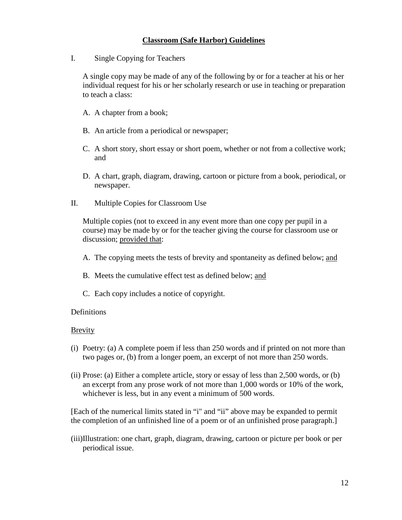### **Classroom (Safe Harbor) Guidelines**

I. Single Copying for Teachers

A single copy may be made of any of the following by or for a teacher at his or her individual request for his or her scholarly research or use in teaching or preparation to teach a class:

- A. A chapter from a book;
- B. An article from a periodical or newspaper;
- C. A short story, short essay or short poem, whether or not from a collective work; and
- D. A chart, graph, diagram, drawing, cartoon or picture from a book, periodical, or newspaper.
- II. Multiple Copies for Classroom Use

Multiple copies (not to exceed in any event more than one copy per pupil in a course) may be made by or for the teacher giving the course for classroom use or discussion; provided that:

- A. The copying meets the tests of brevity and spontaneity as defined below; and
- B. Meets the cumulative effect test as defined below; and
- C. Each copy includes a notice of copyright.

#### Definitions

#### Brevity

- (i) Poetry: (a) A complete poem if less than 250 words and if printed on not more than two pages or, (b) from a longer poem, an excerpt of not more than 250 words.
- (ii) Prose: (a) Either a complete article, story or essay of less than 2,500 words, or (b) an excerpt from any prose work of not more than 1,000 words or 10% of the work, whichever is less, but in any event a minimum of 500 words.

[Each of the numerical limits stated in "i" and "ii" above may be expanded to permit the completion of an unfinished line of a poem or of an unfinished prose paragraph.]

(iii)Illustration: one chart, graph, diagram, drawing, cartoon or picture per book or per periodical issue.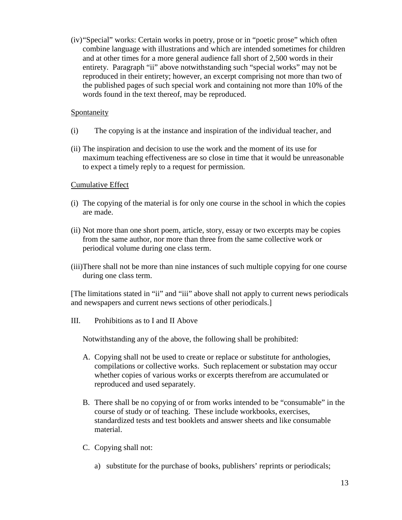(iv)"Special" works: Certain works in poetry, prose or in "poetic prose" which often combine language with illustrations and which are intended sometimes for children and at other times for a more general audience fall short of 2,500 words in their entirety. Paragraph "ii" above notwithstanding such "special works" may not be reproduced in their entirety; however, an excerpt comprising not more than two of the published pages of such special work and containing not more than 10% of the words found in the text thereof, may be reproduced.

#### **Spontaneity**

- (i) The copying is at the instance and inspiration of the individual teacher, and
- (ii) The inspiration and decision to use the work and the moment of its use for maximum teaching effectiveness are so close in time that it would be unreasonable to expect a timely reply to a request for permission.

#### Cumulative Effect

- (i) The copying of the material is for only one course in the school in which the copies are made.
- (ii) Not more than one short poem, article, story, essay or two excerpts may be copies from the same author, nor more than three from the same collective work or periodical volume during one class term.
- (iii)There shall not be more than nine instances of such multiple copying for one course during one class term.

[The limitations stated in "ii" and "iii" above shall not apply to current news periodicals and newspapers and current news sections of other periodicals.]

III. Prohibitions as to I and II Above

Notwithstanding any of the above, the following shall be prohibited:

- A. Copying shall not be used to create or replace or substitute for anthologies, compilations or collective works. Such replacement or substation may occur whether copies of various works or excerpts therefrom are accumulated or reproduced and used separately.
- B. There shall be no copying of or from works intended to be "consumable" in the course of study or of teaching. These include workbooks, exercises, standardized tests and test booklets and answer sheets and like consumable material.
- C. Copying shall not:
	- a) substitute for the purchase of books, publishers' reprints or periodicals;